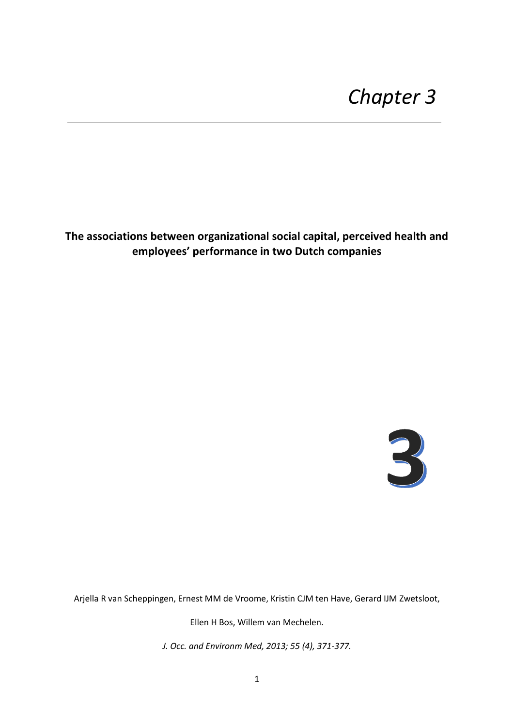# **The associations between organizational social capital, perceived health and employees' performance in two Dutch companies**



Arjella R van Scheppingen, Ernest MM de Vroome, Kristin CJM ten Have, Gerard IJM Zwetsloot,

Ellen H Bos, Willem van Mechelen.

*J. Occ. and Environm Med, 2013; 55 (4), 371-377.*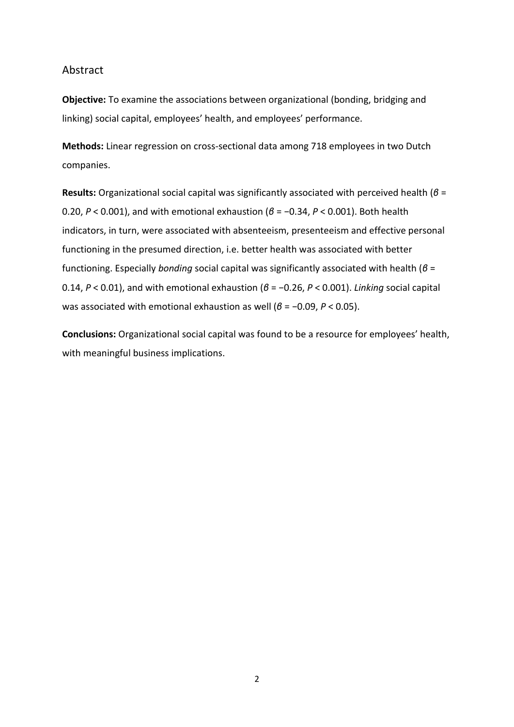## Abstract

**Objective:** To examine the associations between organizational (bonding, bridging and linking) social capital, employees' health, and employees' performance.

**Methods:** Linear regression on cross-sectional data among 718 employees in two Dutch companies.

**Results:** Organizational social capital was significantly associated with perceived health (*β* = 0.20, *P* < 0.001), and with emotional exhaustion (*β* = −0.34, *P* < 0.001). Both health indicators, in turn, were associated with absenteeism, presenteeism and effective personal functioning in the presumed direction, i.e. better health was associated with better functioning. Especially *bonding* social capital was significantly associated with health (*β* = 0.14, *P* < 0.01), and with emotional exhaustion (*β* = −0.26, *P* < 0.001). *Linking* social capital was associated with emotional exhaustion as well (*β* = −0.09, *P* < 0.05).

**Conclusions:** Organizational social capital was found to be a resource for employees' health, with meaningful business implications.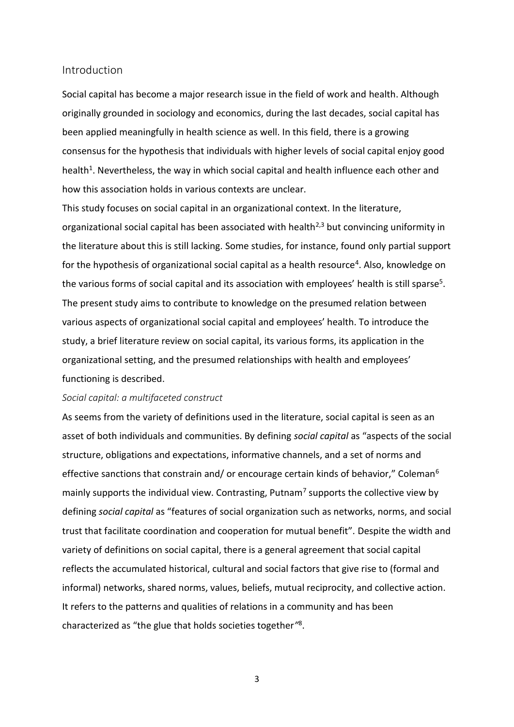## Introduction

Social capital has become a major research issue in the field of work and health. Although originally grounded in sociology and economics, during the last decades, social capital has been applied meaningfully in health science as well. In this field, there is a growing consensus for the hypothesis that individuals with higher levels of social capital enjoy good health<sup>1</sup>. Nevertheless, the way in which social capital and health influence each other and how this association holds in various contexts are unclear.

This study focuses on social capital in an organizational context. In the literature, organizational social capital has been associated with health<sup>2,3</sup> but convincing uniformity in the literature about this is still lacking. Some studies, for instance, found only partial support for the hypothesis of organizational social capital as a health resource<sup>4</sup>. Also, knowledge on the various forms of social capital and its association with employees' health is still sparse<sup>5</sup>. The present study aims to contribute to knowledge on the presumed relation between various aspects of organizational social capital and employees' health. To introduce the study, a brief literature review on social capital, its various forms, its application in the organizational setting, and the presumed relationships with health and employees' functioning is described.

### *Social capital: a multifaceted construct*

As seems from the variety of definitions used in the literature, social capital is seen as an asset of both individuals and communities. By defining *social capital* as "aspects of the social structure, obligations and expectations, informative channels, and a set of norms and effective sanctions that constrain and/ or encourage certain kinds of behavior," Coleman<sup>6</sup> mainly supports the individual view. Contrasting, Putnam<sup>7</sup> supports the collective view by defining *social capital* as "features of social organization such as networks, norms, and social trust that facilitate coordination and cooperation for mutual benefit"*.* Despite the width and variety of definitions on social capital, there is a general agreement that social capital reflects the accumulated historical, cultural and social factors that give rise to (formal and informal) networks, shared norms, values, beliefs, mutual reciprocity, and collective action. It refers to the patterns and qualities of relations in a community and has been characterized as "the glue that holds societies together*"* 8 .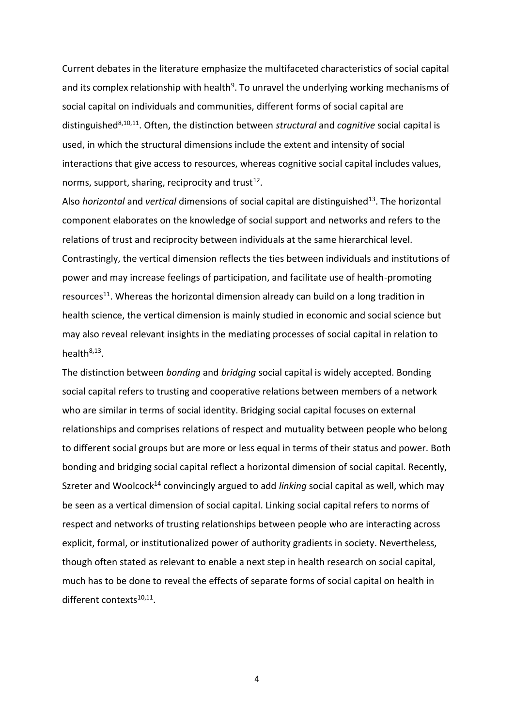Current debates in the literature emphasize the multifaceted characteristics of social capital and its complex relationship with health<sup>9</sup>. To unravel the underlying working mechanisms of social capital on individuals and communities, different forms of social capital are distinguished8,10,11. Often, the distinction between *structural* and *cognitive* social capital is used, in which the structural dimensions include the extent and intensity of social interactions that give access to resources, whereas cognitive social capital includes values, norms, support, sharing, reciprocity and trust<sup>12</sup>.

Also *horizontal* and *vertical* dimensions of social capital are distinguished<sup>13</sup>. The horizontal component elaborates on the knowledge of social support and networks and refers to the relations of trust and reciprocity between individuals at the same hierarchical level. Contrastingly, the vertical dimension reflects the ties between individuals and institutions of power and may increase feelings of participation, and facilitate use of health-promoting resources<sup>11</sup>. Whereas the horizontal dimension already can build on a long tradition in health science, the vertical dimension is mainly studied in economic and social science but may also reveal relevant insights in the mediating processes of social capital in relation to health<sup>8,13</sup>.

The distinction between *bonding* and *bridging* social capital is widely accepted. Bonding social capital refers to trusting and cooperative relations between members of a network who are similar in terms of social identity. Bridging social capital focuses on external relationships and comprises relations of respect and mutuality between people who belong to different social groups but are more or less equal in terms of their status and power. Both bonding and bridging social capital reflect a horizontal dimension of social capital. Recently, Szreter and Woolcock<sup>14</sup> convincingly argued to add *linking* social capital as well, which may be seen as a vertical dimension of social capital. Linking social capital refers to norms of respect and networks of trusting relationships between people who are interacting across explicit, formal, or institutionalized power of authority gradients in society. Nevertheless, though often stated as relevant to enable a next step in health research on social capital, much has to be done to reveal the effects of separate forms of social capital on health in different contexts<sup>10,11</sup>.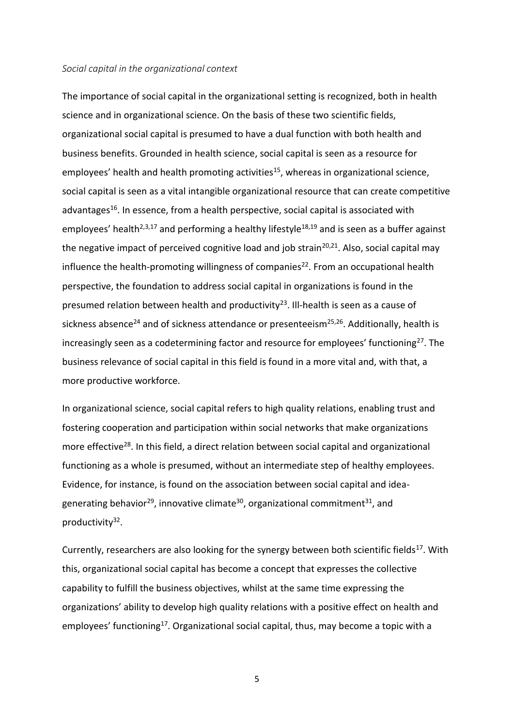#### *Social capital in the organizational context*

The importance of social capital in the organizational setting is recognized, both in health science and in organizational science. On the basis of these two scientific fields, organizational social capital is presumed to have a dual function with both health and business benefits. Grounded in health science, social capital is seen as a resource for employees' health and health promoting activities<sup>15</sup>, whereas in organizational science, social capital is seen as a vital intangible organizational resource that can create competitive advantages<sup>16</sup>. In essence, from a health perspective, social capital is associated with employees' health<sup>2,3,17</sup> and performing a healthy lifestyle<sup>18,19</sup> and is seen as a buffer against the negative impact of perceived cognitive load and job strain<sup>20,21</sup>. Also, social capital may influence the health-promoting willingness of companies<sup>22</sup>. From an occupational health perspective, the foundation to address social capital in organizations is found in the presumed relation between health and productivity<sup>23</sup>. Ill-health is seen as a cause of sickness absence<sup>24</sup> and of sickness attendance or presenteeism<sup>25,26</sup>. Additionally, health is increasingly seen as a codetermining factor and resource for employees' functioning<sup>27</sup>. The business relevance of social capital in this field is found in a more vital and, with that, a more productive workforce.

In organizational science, social capital refers to high quality relations, enabling trust and fostering cooperation and participation within social networks that make organizations more effective<sup>28</sup>. In this field, a direct relation between social capital and organizational functioning as a whole is presumed, without an intermediate step of healthy employees. Evidence, for instance, is found on the association between social capital and ideagenerating behavior<sup>29</sup>, innovative climate<sup>30</sup>, organizational commitment<sup>31</sup>, and productivity<sup>32</sup>.

Currently, researchers are also looking for the synergy between both scientific fields<sup>17</sup>. With this, organizational social capital has become a concept that expresses the collective capability to fulfill the business objectives, whilst at the same time expressing the organizations' ability to develop high quality relations with a positive effect on health and employees' functioning<sup>17</sup>. Organizational social capital, thus, may become a topic with a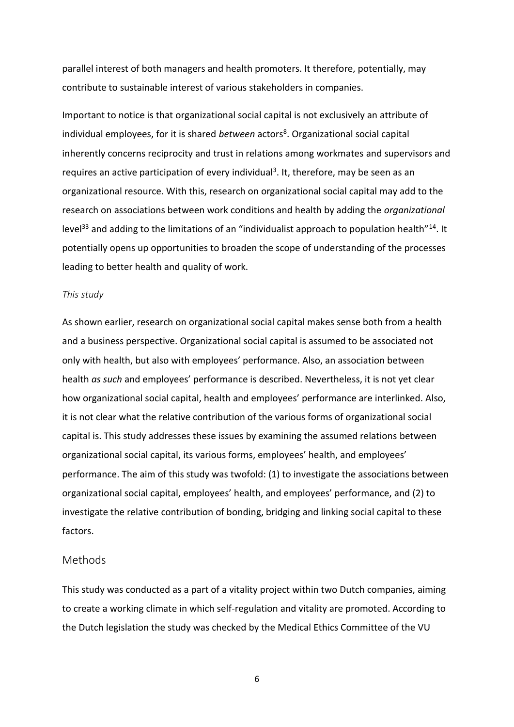parallel interest of both managers and health promoters. It therefore, potentially, may contribute to sustainable interest of various stakeholders in companies.

Important to notice is that organizational social capital is not exclusively an attribute of individual employees, for it is shared *between* actors<sup>8</sup>. Organizational social capital inherently concerns reciprocity and trust in relations among workmates and supervisors and requires an active participation of every individual<sup>3</sup>. It, therefore, may be seen as an organizational resource. With this, research on organizational social capital may add to the research on associations between work conditions and health by adding the *organizational* level<sup>33</sup> and adding to the limitations of an "individualist approach to population health"<sup>14</sup>. It potentially opens up opportunities to broaden the scope of understanding of the processes leading to better health and quality of work.

### *This study*

As shown earlier, research on organizational social capital makes sense both from a health and a business perspective. Organizational social capital is assumed to be associated not only with health, but also with employees' performance. Also, an association between health *as such* and employees' performance is described. Nevertheless, it is not yet clear how organizational social capital, health and employees' performance are interlinked. Also, it is not clear what the relative contribution of the various forms of organizational social capital is. This study addresses these issues by examining the assumed relations between organizational social capital, its various forms, employees' health, and employees' performance. The aim of this study was twofold: (1) to investigate the associations between organizational social capital, employees' health, and employees' performance, and (2) to investigate the relative contribution of bonding, bridging and linking social capital to these factors.

### Methods

This study was conducted as a part of a vitality project within two Dutch companies, aiming to create a working climate in which self-regulation and vitality are promoted. According to the Dutch legislation the study was checked by the Medical Ethics Committee of the VU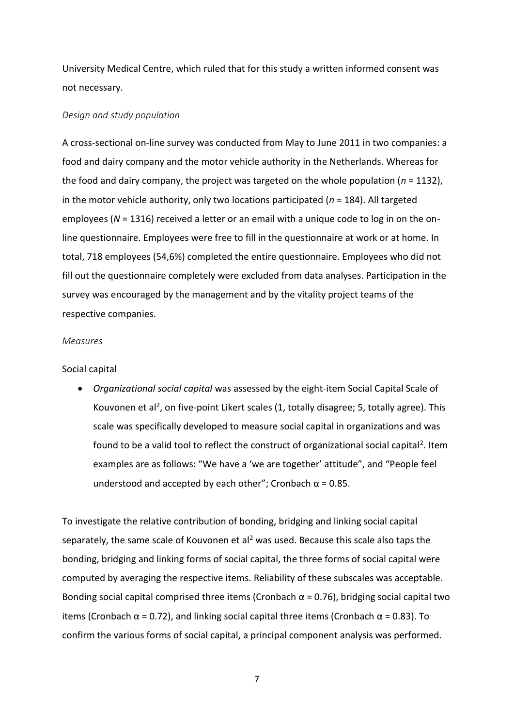University Medical Centre, which ruled that for this study a written informed consent was not necessary.

### *Design and study population*

A cross-sectional on-line survey was conducted from May to June 2011 in two companies: a food and dairy company and the motor vehicle authority in the Netherlands. Whereas for the food and dairy company, the project was targeted on the whole population (*n* = 1132), in the motor vehicle authority, only two locations participated (*n* = 184). All targeted employees (*N* = 1316) received a letter or an email with a unique code to log in on the online questionnaire. Employees were free to fill in the questionnaire at work or at home. In total, 718 employees (54,6%) completed the entire questionnaire. Employees who did not fill out the questionnaire completely were excluded from data analyses. Participation in the survey was encouraged by the management and by the vitality project teams of the respective companies.

### *Measures*

### Social capital

 *Organizational social capital* was assessed by the eight-item Social Capital Scale of Kouvonen et al<sup>2</sup>, on five-point Likert scales (1, totally disagree; 5, totally agree). This scale was specifically developed to measure social capital in organizations and was found to be a valid tool to reflect the construct of organizational social capital<sup>2</sup>. Item examples are as follows: "We have a 'we are together' attitude", and "People feel understood and accepted by each other"; Cronbach  $\alpha$  = 0.85.

To investigate the relative contribution of bonding, bridging and linking social capital separately, the same scale of Kouvonen et al<sup>2</sup> was used. Because this scale also taps the bonding, bridging and linking forms of social capital, the three forms of social capital were computed by averaging the respective items. Reliability of these subscales was acceptable. Bonding social capital comprised three items (Cronbach  $\alpha$  = 0.76), bridging social capital two items (Cronbach  $\alpha$  = 0.72), and linking social capital three items (Cronbach  $\alpha$  = 0.83). To confirm the various forms of social capital, a principal component analysis was performed.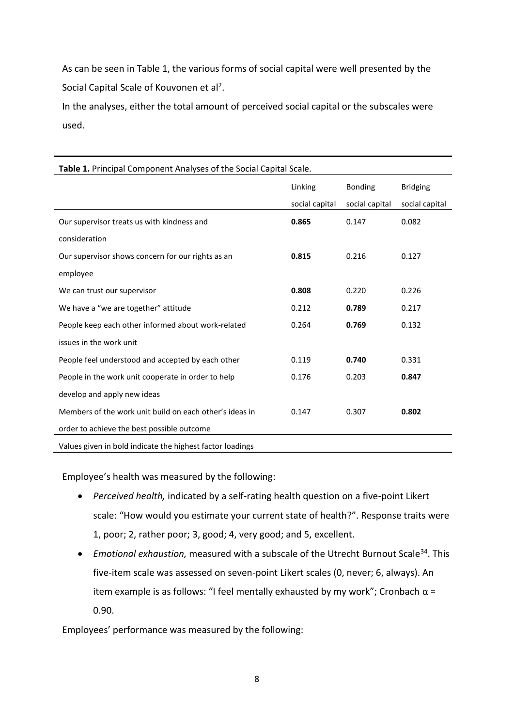As can be seen in Table 1, the various forms of social capital were well presented by the Social Capital Scale of Kouvonen et al<sup>2</sup>.

In the analyses, either the total amount of perceived social capital or the subscales were used.

| <b>Table 1.</b> Principal Component Analyses of the Social Capital Scale. |                |                |                 |  |
|---------------------------------------------------------------------------|----------------|----------------|-----------------|--|
|                                                                           | Linking        | <b>Bonding</b> | <b>Bridging</b> |  |
|                                                                           | social capital | social capital | social capital  |  |
| Our supervisor treats us with kindness and                                | 0.865          | 0.147          | 0.082           |  |
| consideration                                                             |                |                |                 |  |
| Our supervisor shows concern for our rights as an                         | 0.815          | 0.216          | 0.127           |  |
| employee                                                                  |                |                |                 |  |
| We can trust our supervisor                                               | 0.808          | 0.220          | 0.226           |  |
| We have a "we are together" attitude                                      | 0.212          | 0.789          | 0.217           |  |
| People keep each other informed about work-related                        | 0.264          | 0.769          | 0.132           |  |
| issues in the work unit                                                   |                |                |                 |  |
| People feel understood and accepted by each other                         | 0.119          | 0.740          | 0.331           |  |
| People in the work unit cooperate in order to help                        | 0.176          | 0.203          | 0.847           |  |
| develop and apply new ideas                                               |                |                |                 |  |
| Members of the work unit build on each other's ideas in                   | 0.147          | 0.307          | 0.802           |  |
| order to achieve the best possible outcome                                |                |                |                 |  |
| Values given in bold indicate the highest factor loadings                 |                |                |                 |  |

# **Table 1.** Principal Component Analyses of the Social Capital Scale.

Employee's health was measured by the following:

- *Perceived health,* indicated by a self-rating health question on a five-point Likert scale: "How would you estimate your current state of health?". Response traits were 1, poor; 2, rather poor; 3, good; 4, very good; and 5, excellent.
- *Emotional exhaustion,* measured with a subscale of the Utrecht Burnout Scale<sup>34</sup>. This five-item scale was assessed on seven-point Likert scales (0, never; 6, always). An item example is as follows: "I feel mentally exhausted by my work"; Cronbach  $\alpha$  = 0.90.

Employees' performance was measured by the following: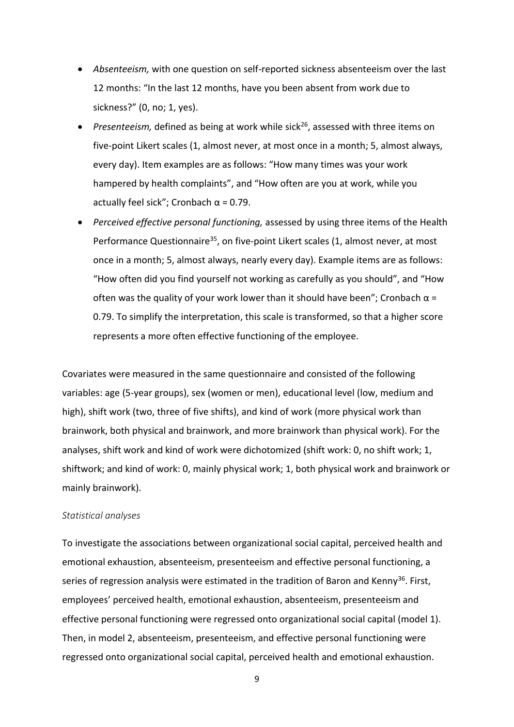- *Absenteeism,* with one question on self-reported sickness absenteeism over the last 12 months: "In the last 12 months, have you been absent from work due to sickness?" (0, no; 1, yes).
- Presenteeism, defined as being at work while sick<sup>26</sup>, assessed with three items on five-point Likert scales (1, almost never, at most once in a month; 5, almost always, every day). Item examples are as follows: "How many times was your work hampered by health complaints", and "How often are you at work, while you actually feel sick"; Cronbach  $\alpha$  = 0.79.
- *Perceived effective personal functioning,* assessed by using three items of the Health Performance Questionnaire<sup>35</sup>, on five-point Likert scales (1, almost never, at most once in a month; 5, almost always, nearly every day). Example items are as follows: "How often did you find yourself not working as carefully as you should", and "How often was the quality of your work lower than it should have been"; Cronbach  $\alpha$  = 0.79. To simplify the interpretation, this scale is transformed, so that a higher score represents a more often effective functioning of the employee.

Covariates were measured in the same questionnaire and consisted of the following variables: age (5-year groups), sex (women or men), educational level (low, medium and high), shift work (two, three of five shifts), and kind of work (more physical work than brainwork, both physical and brainwork, and more brainwork than physical work). For the analyses, shift work and kind of work were dichotomized (shift work: 0, no shift work; 1, shiftwork; and kind of work: 0, mainly physical work; 1, both physical work and brainwork or mainly brainwork).

### *Statistical analyses*

To investigate the associations between organizational social capital, perceived health and emotional exhaustion, absenteeism, presenteeism and effective personal functioning, a series of regression analysis were estimated in the tradition of Baron and Kenny<sup>36</sup>. First, employees' perceived health, emotional exhaustion, absenteeism, presenteeism and effective personal functioning were regressed onto organizational social capital (model 1). Then, in model 2, absenteeism, presenteeism, and effective personal functioning were regressed onto organizational social capital, perceived health and emotional exhaustion.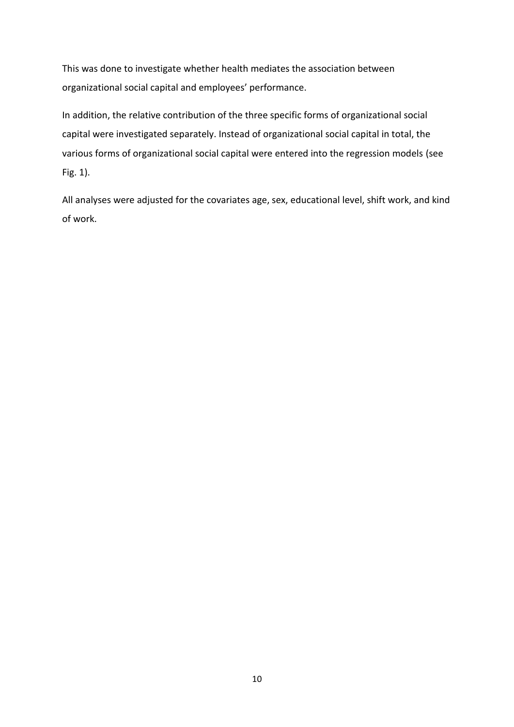This was done to investigate whether health mediates the association between organizational social capital and employees' performance.

In addition, the relative contribution of the three specific forms of organizational social capital were investigated separately. Instead of organizational social capital in total, the various forms of organizational social capital were entered into the regression models (see Fig. 1).

All analyses were adjusted for the covariates age, sex, educational level, shift work, and kind of work.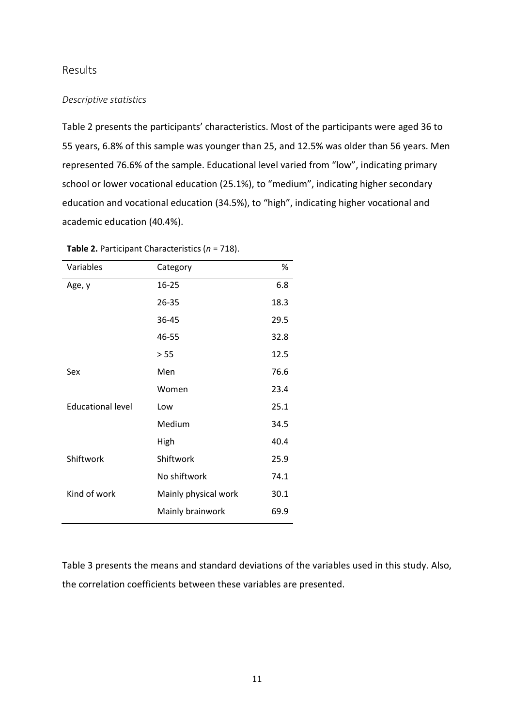## Results

## *Descriptive statistics*

Table 2 presents the participants' characteristics. Most of the participants were aged 36 to 55 years, 6.8% of this sample was younger than 25, and 12.5% was older than 56 years. Men represented 76.6% of the sample. Educational level varied from "low", indicating primary school or lower vocational education (25.1%), to "medium", indicating higher secondary education and vocational education (34.5%), to "high", indicating higher vocational and academic education (40.4%).

| Variables                | Category             | %    |
|--------------------------|----------------------|------|
| Age, y                   | $16 - 25$            | 6.8  |
|                          | 26-35                | 18.3 |
|                          | 36-45                | 29.5 |
|                          | 46-55                | 32.8 |
|                          | > 55                 | 12.5 |
| Sex                      | Men                  | 76.6 |
|                          | Women                | 23.4 |
| <b>Educational level</b> | Low                  | 25.1 |
|                          | Medium               | 34.5 |
|                          | High                 | 40.4 |
| Shiftwork                | Shiftwork            | 25.9 |
|                          | No shiftwork         | 74.1 |
| Kind of work             | Mainly physical work | 30.1 |
|                          | Mainly brainwork     | 69.9 |

**Table 2.** Participant Characteristics (*n* = 718).

Table 3 presents the means and standard deviations of the variables used in this study. Also, the correlation coefficients between these variables are presented.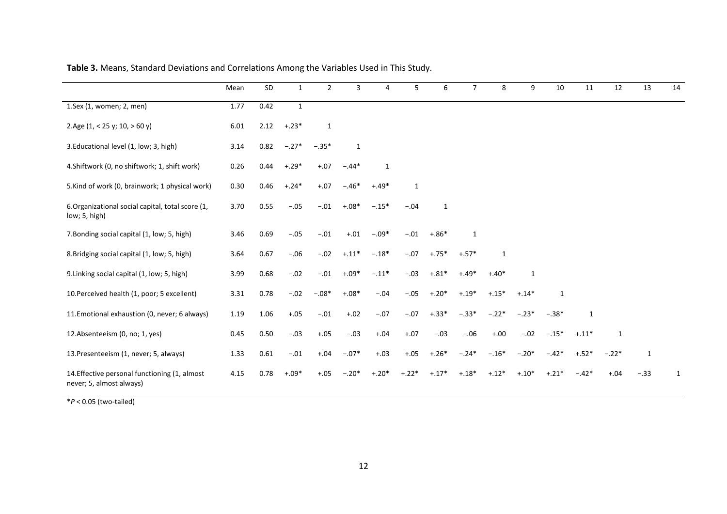|                                                                           | Mean | SD   | $\mathbf{1}$ | $\overline{2}$ | 3            | 4       | 5            | 6            | $\overline{7}$ | 8       | 9            | 10           | 11           | 12      | 13           | 14 |
|---------------------------------------------------------------------------|------|------|--------------|----------------|--------------|---------|--------------|--------------|----------------|---------|--------------|--------------|--------------|---------|--------------|----|
| 1.Sex (1, women; 2, men)                                                  | 1.77 | 0.42 | $\mathbf{1}$ |                |              |         |              |              |                |         |              |              |              |         |              |    |
| 2.Age $(1, < 25$ y; $10, > 60$ y)                                         | 6.01 | 2.12 | $+.23*$      | $\mathbf{1}$   |              |         |              |              |                |         |              |              |              |         |              |    |
| 3. Educational level (1, low; 3, high)                                    | 3.14 | 0.82 | $-.27*$      | $-.35*$        | $\mathbf{1}$ |         |              |              |                |         |              |              |              |         |              |    |
| 4. Shiftwork (0, no shiftwork; 1, shift work)                             | 0.26 | 0.44 | $+.29*$      | $+.07$         | $-.44*$      | 1       |              |              |                |         |              |              |              |         |              |    |
| 5. Kind of work (0, brainwork; 1 physical work)                           | 0.30 | 0.46 | $+.24*$      | $+.07$         | $-.46*$      | $+.49*$ | $\mathbf{1}$ |              |                |         |              |              |              |         |              |    |
| 6. Organizational social capital, total score (1,<br>low; 5, high)        | 3.70 | 0.55 | $-.05$       | $-.01$         | $+.08*$      | $-.15*$ | $-.04$       | $\mathbf{1}$ |                |         |              |              |              |         |              |    |
| 7. Bonding social capital (1, low; 5, high)                               | 3.46 | 0.69 | $-.05$       | $-.01$         | $+.01$       | $-.09*$ | $-.01$       | $+.86*$      | $\mathbf{1}$   |         |              |              |              |         |              |    |
| 8. Bridging social capital (1, low; 5, high)                              | 3.64 | 0.67 | $-.06$       | $-.02$         | $-.11*$      | $-.18*$ | $-.07$       | $+.75*$      | $+.57*$        | 1       |              |              |              |         |              |    |
| 9. Linking social capital (1, low; 5, high)                               | 3.99 | 0.68 | $-.02$       | $-.01$         | $+.09*$      | $-.11*$ | $-.03$       | $+.81*$      | $+.49*$        | $+.40*$ | $\mathbf{1}$ |              |              |         |              |    |
| 10. Perceived health (1, poor; 5 excellent)                               | 3.31 | 0.78 | $-.02$       | $-.08*$        | $+.08*$      | $-.04$  | $-.05$       | $+.20*$      | $+.19*$        | $+.15*$ | $+.14*$      | $\mathbf{1}$ |              |         |              |    |
| 11. Emotional exhaustion (0, never; 6 always)                             | 1.19 | 1.06 | $+.05$       | $-.01$         | $+.02$       | $-.07$  | $-.07$       | $+.33*$      | $-.33*$        | $-.22*$ | $-.23*$      | $-.38*$      | $\mathbf{1}$ |         |              |    |
| 12.Absenteeism (0, no; 1, yes)                                            | 0.45 | 0.50 | $-.03$       | $+.05$         | $-.03$       | $+.04$  | $+.07$       | $-.03$       | $-.06$         | $+.00$  | $-.02$       | $-.15*$      | $+.11*$      | 1       |              |    |
| 13. Presenteeism (1, never; 5, always)                                    | 1.33 | 0.61 | $-.01$       | $+.04$         | $-.07*$      | $+.03$  | $+.05$       | $+.26*$      | $-.24*$        | $-.16*$ | $-.20*$      | $-.42*$      | $+.52*$      | $-.22*$ | $\mathbf{1}$ |    |
| 14. Effective personal functioning (1, almost<br>never; 5, almost always) | 4.15 | 0.78 | $+.09*$      | $+.05$         | $-.20*$      | $+.20*$ | $+.22*$      | $+.17*$      | $+.18*$        | $+.12*$ | $+.10*$      | $+.21*$      | $-.42*$      | $+.04$  | $-.33$       | 1  |

**Table 3.** Means, Standard Deviations and Correlations Among the Variables Used in This Study.

\**P* < 0.05 (two-tailed)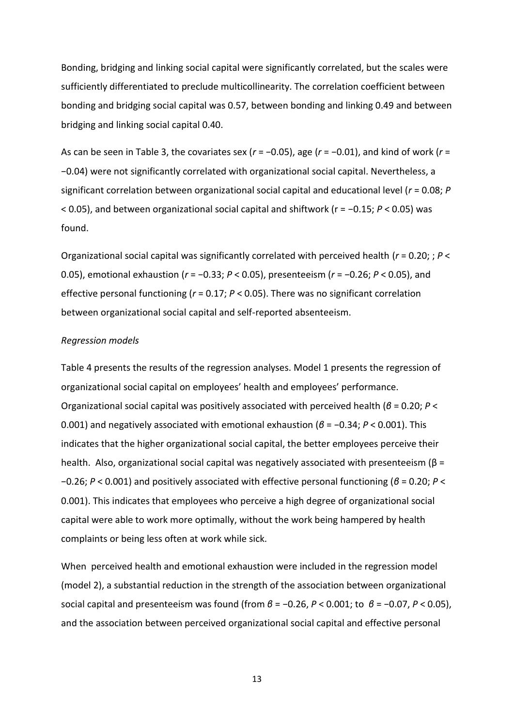Bonding, bridging and linking social capital were significantly correlated, but the scales were sufficiently differentiated to preclude multicollinearity. The correlation coefficient between bonding and bridging social capital was 0.57, between bonding and linking 0.49 and between bridging and linking social capital 0.40.

As can be seen in Table 3, the covariates sex (*r* = −0.05), age (*r* = −0.01), and kind of work (*r* = −0.04) were not significantly correlated with organizational social capital. Nevertheless, a significant correlation between organizational social capital and educational level (*r* = 0.08; *P* < 0.05), and between organizational social capital and shiftwork (r = −0.15; *P* < 0.05) was found.

Organizational social capital was significantly correlated with perceived health (*r* = 0.20; ; *P* < 0.05), emotional exhaustion (*r* = −0.33; *P* < 0.05), presenteeism (*r* = −0.26; *P* < 0.05), and effective personal functioning (*r* = 0.17; *P* < 0.05). There was no significant correlation between organizational social capital and self-reported absenteeism.

### *Regression models*

Table 4 presents the results of the regression analyses. Model 1 presents the regression of organizational social capital on employees' health and employees' performance. Organizational social capital was positively associated with perceived health (*β* = 0.20; *P* < 0.001) and negatively associated with emotional exhaustion (*β* = −0.34; *P* < 0.001). This indicates that the higher organizational social capital, the better employees perceive their health. Also, organizational social capital was negatively associated with presenteeism (β = −0.26; *P* < 0.001) and positively associated with effective personal functioning (*β* = 0.20; *P* < 0.001). This indicates that employees who perceive a high degree of organizational social capital were able to work more optimally, without the work being hampered by health complaints or being less often at work while sick.

When perceived health and emotional exhaustion were included in the regression model (model 2), a substantial reduction in the strength of the association between organizational social capital and presenteeism was found (from *β* = −0.26, *P* < 0.001; to *β* = −0.07, *P* < 0.05), and the association between perceived organizational social capital and effective personal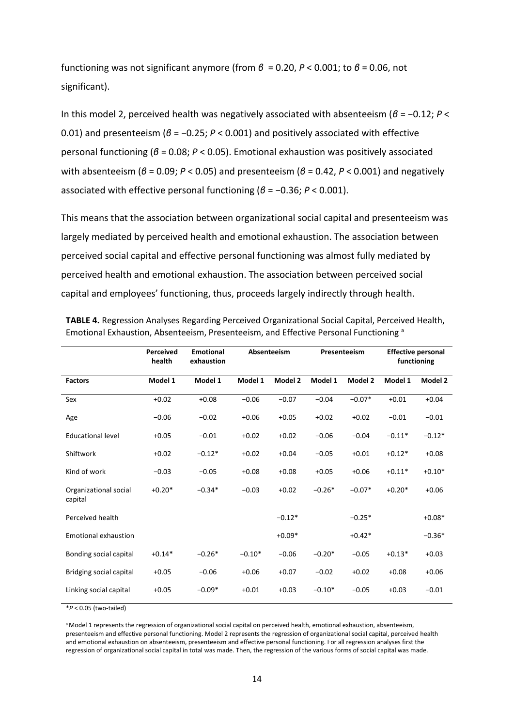functioning was not significant anymore (from *β* = 0.20, *P* < 0.001; to *β* = 0.06, not significant).

In this model 2, perceived health was negatively associated with absenteeism (*β* = −0.12; *P* < 0.01) and presenteeism (*β* = −0.25; *P* < 0.001) and positively associated with effective personal functioning (*β* = 0.08; *P* < 0.05). Emotional exhaustion was positively associated with absenteeism (*β* = 0.09; *P* < 0.05) and presenteeism (*β* = 0.42, *P* < 0.001) and negatively associated with effective personal functioning (*β* = −0.36; *P* < 0.001).

This means that the association between organizational social capital and presenteeism was largely mediated by perceived health and emotional exhaustion. The association between perceived social capital and effective personal functioning was almost fully mediated by perceived health and emotional exhaustion. The association between perceived social capital and employees' functioning, thus, proceeds largely indirectly through health.

|                                  | Perceived<br>health | <b>Emotional</b><br>exhaustion |          | Absenteeism | Presenteeism |          | <b>Effective personal</b><br>functioning |          |  |
|----------------------------------|---------------------|--------------------------------|----------|-------------|--------------|----------|------------------------------------------|----------|--|
| <b>Factors</b>                   | Model 1             | Model 1                        | Model 1  | Model 2     | Model 1      | Model 2  | Model 1                                  | Model 2  |  |
| Sex                              | $+0.02$             | $+0.08$                        | $-0.06$  | $-0.07$     | $-0.04$      | $-0.07*$ | $+0.01$                                  | $+0.04$  |  |
| Age                              | $-0.06$             | $-0.02$                        | $+0.06$  | $+0.05$     | $+0.02$      | $+0.02$  | $-0.01$                                  | $-0.01$  |  |
| <b>Educational level</b>         | $+0.05$             | $-0.01$                        | $+0.02$  | $+0.02$     | $-0.06$      | $-0.04$  | $-0.11*$                                 | $-0.12*$ |  |
| Shiftwork                        | $+0.02$             | $-0.12*$                       | $+0.02$  | $+0.04$     | $-0.05$      | $+0.01$  | $+0.12*$                                 | $+0.08$  |  |
| Kind of work                     | $-0.03$             | $-0.05$                        | $+0.08$  | $+0.08$     | $+0.05$      | $+0.06$  | $+0.11*$                                 | $+0.10*$ |  |
| Organizational social<br>capital | $+0.20*$            | $-0.34*$                       | $-0.03$  | $+0.02$     | $-0.26*$     | $-0.07*$ | $+0.20*$                                 | $+0.06$  |  |
| Perceived health                 |                     |                                |          | $-0.12*$    |              | $-0.25*$ |                                          | $+0.08*$ |  |
| <b>Emotional exhaustion</b>      |                     |                                |          | $+0.09*$    |              | $+0.42*$ |                                          | $-0.36*$ |  |
| Bonding social capital           | $+0.14*$            | $-0.26*$                       | $-0.10*$ | $-0.06$     | $-0.20*$     | $-0.05$  | $+0.13*$                                 | $+0.03$  |  |
| Bridging social capital          | $+0.05$             | $-0.06$                        | $+0.06$  | $+0.07$     | $-0.02$      | $+0.02$  | $+0.08$                                  | $+0.06$  |  |
| Linking social capital           | $+0.05$             | $-0.09*$                       | $+0.01$  | $+0.03$     | $-0.10*$     | $-0.05$  | $+0.03$                                  | $-0.01$  |  |

| TABLE 4. Regression Analyses Regarding Perceived Organizational Social Capital, Perceived Health, |
|---------------------------------------------------------------------------------------------------|
| Emotional Exhaustion, Absenteeism, Presenteeism, and Effective Personal Functioning <sup>a</sup>  |

\**P* < 0.05 (two-tailed)

<sup>a</sup> Model 1 represents the regression of organizational social capital on perceived health, emotional exhaustion, absenteeism, presenteeism and effective personal functioning. Model 2 represents the regression of organizational social capital, perceived health and emotional exhaustion on absenteeism, presenteeism and effective personal functioning. For all regression analyses first the regression of organizational social capital in total was made. Then, the regression of the various forms of social capital was made.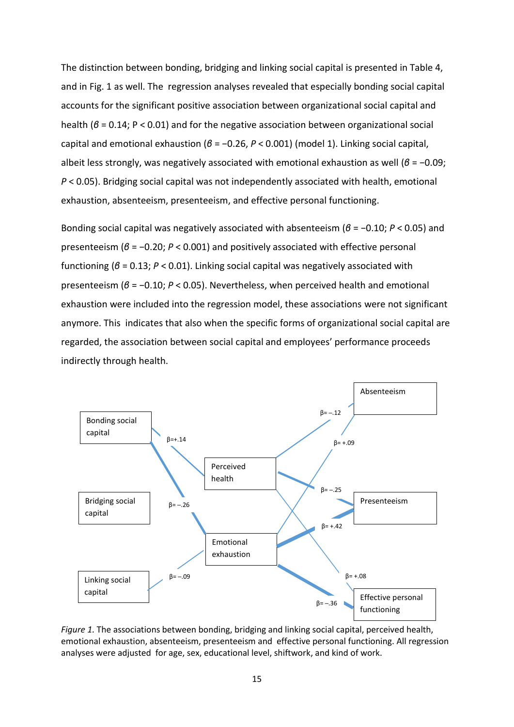The distinction between bonding, bridging and linking social capital is presented in Table 4, and in Fig. 1 as well. The regression analyses revealed that especially bonding social capital accounts for the significant positive association between organizational social capital and health (*β* = 0.14; P < 0.01) and for the negative association between organizational social capital and emotional exhaustion (*β* = −0.26, *P* < 0.001) (model 1). Linking social capital, albeit less strongly, was negatively associated with emotional exhaustion as well (*β* = −0.09; *P* < 0.05). Bridging social capital was not independently associated with health, emotional exhaustion, absenteeism, presenteeism, and effective personal functioning.

Bonding social capital was negatively associated with absenteeism (*β* = −0.10; *P* < 0.05) and presenteeism (*β* = −0.20; *P* < 0.001) and positively associated with effective personal functioning (*β* = 0.13; *P* < 0.01). Linking social capital was negatively associated with presenteeism (*β* = −0.10; *P* < 0.05). Nevertheless, when perceived health and emotional exhaustion were included into the regression model, these associations were not significant anymore. This indicates that also when the specific forms of organizational social capital are regarded, the association between social capital and employees' performance proceeds indirectly through health.



*Figure 1.* The associations between bonding, bridging and linking social capital, perceived health, emotional exhaustion, absenteeism, presenteeism and effective personal functioning. All regression analyses were adjusted for age, sex, educational level, shiftwork, and kind of work.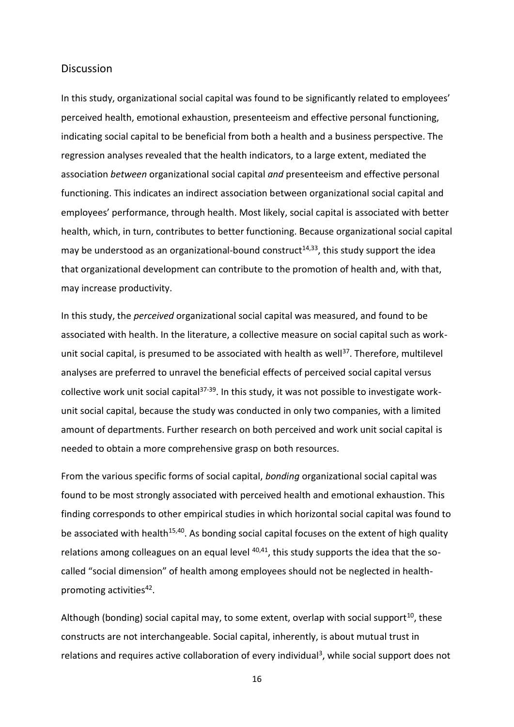## **Discussion**

In this study, organizational social capital was found to be significantly related to employees' perceived health, emotional exhaustion, presenteeism and effective personal functioning, indicating social capital to be beneficial from both a health and a business perspective. The regression analyses revealed that the health indicators, to a large extent, mediated the association *between* organizational social capital *and* presenteeism and effective personal functioning. This indicates an indirect association between organizational social capital and employees' performance, through health. Most likely, social capital is associated with better health, which, in turn, contributes to better functioning. Because organizational social capital may be understood as an organizational-bound construct<sup>14,33</sup>, this study support the idea that organizational development can contribute to the promotion of health and, with that, may increase productivity.

In this study, the *perceived* organizational social capital was measured, and found to be associated with health. In the literature, a collective measure on social capital such as workunit social capital, is presumed to be associated with health as well<sup>37</sup>. Therefore, multilevel analyses are preferred to unravel the beneficial effects of perceived social capital versus collective work unit social capital $37-39$ . In this study, it was not possible to investigate workunit social capital, because the study was conducted in only two companies, with a limited amount of departments. Further research on both perceived and work unit social capital is needed to obtain a more comprehensive grasp on both resources.

From the various specific forms of social capital, *bonding* organizational social capital was found to be most strongly associated with perceived health and emotional exhaustion. This finding corresponds to other empirical studies in which horizontal social capital was found to be associated with health<sup>15,40</sup>. As bonding social capital focuses on the extent of high quality relations among colleagues on an equal level  $40,41$ , this study supports the idea that the socalled "social dimension" of health among employees should not be neglected in healthpromoting activities<sup>42</sup>.

Although (bonding) social capital may, to some extent, overlap with social support<sup>10</sup>, these constructs are not interchangeable. Social capital, inherently, is about mutual trust in relations and requires active collaboration of every individual<sup>3</sup>, while social support does not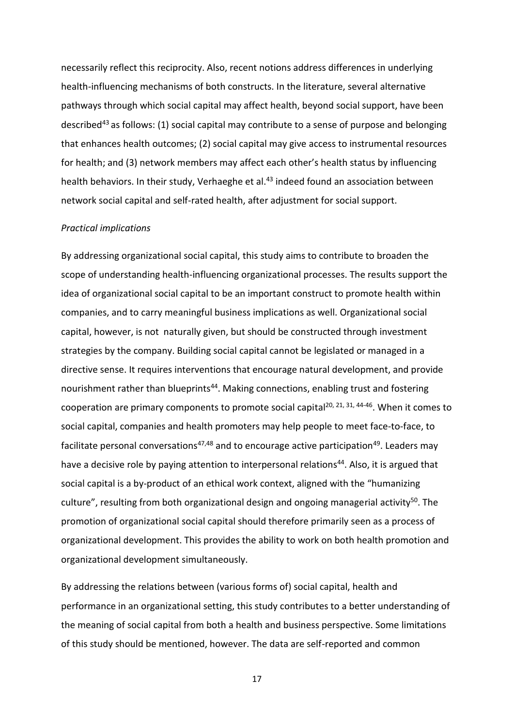necessarily reflect this reciprocity. Also, recent notions address differences in underlying health-influencing mechanisms of both constructs. In the literature, several alternative pathways through which social capital may affect health, beyond social support, have been described<sup>43</sup> as follows: (1) social capital may contribute to a sense of purpose and belonging that enhances health outcomes; (2) social capital may give access to instrumental resources for health; and (3) network members may affect each other's health status by influencing health behaviors. In their study, Verhaeghe et al.<sup>43</sup> indeed found an association between network social capital and self-rated health, after adjustment for social support.

## *Practical implications*

By addressing organizational social capital, this study aims to contribute to broaden the scope of understanding health-influencing organizational processes. The results support the idea of organizational social capital to be an important construct to promote health within companies, and to carry meaningful business implications as well. Organizational social capital, however, is not naturally given, but should be constructed through investment strategies by the company. Building social capital cannot be legislated or managed in a directive sense. It requires interventions that encourage natural development, and provide nourishment rather than blueprints<sup>44</sup>. Making connections, enabling trust and fostering cooperation are primary components to promote social capital<sup>20, 21, 31, 44-46</sup>. When it comes to social capital, companies and health promoters may help people to meet face-to-face, to facilitate personal conversations<sup>47,48</sup> and to encourage active participation<sup>49</sup>. Leaders may have a decisive role by paying attention to interpersonal relations<sup>44</sup>. Also, it is argued that social capital is a by-product of an ethical work context, aligned with the "humanizing culture", resulting from both organizational design and ongoing managerial activity<sup>50</sup>. The promotion of organizational social capital should therefore primarily seen as a process of organizational development. This provides the ability to work on both health promotion and organizational development simultaneously.

By addressing the relations between (various forms of) social capital, health and performance in an organizational setting, this study contributes to a better understanding of the meaning of social capital from both a health and business perspective. Some limitations of this study should be mentioned, however. The data are self-reported and common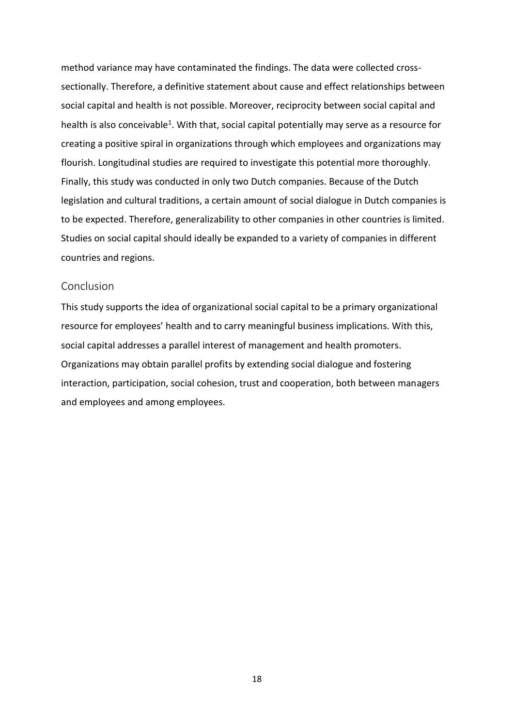method variance may have contaminated the findings. The data were collected crosssectionally. Therefore, a definitive statement about cause and effect relationships between social capital and health is not possible. Moreover, reciprocity between social capital and health is also conceivable<sup>1</sup>. With that, social capital potentially may serve as a resource for creating a positive spiral in organizations through which employees and organizations may flourish. Longitudinal studies are required to investigate this potential more thoroughly. Finally, this study was conducted in only two Dutch companies. Because of the Dutch legislation and cultural traditions, a certain amount of social dialogue in Dutch companies is to be expected. Therefore, generalizability to other companies in other countries is limited. Studies on social capital should ideally be expanded to a variety of companies in different countries and regions.

## Conclusion

This study supports the idea of organizational social capital to be a primary organizational resource for employees' health and to carry meaningful business implications. With this, social capital addresses a parallel interest of management and health promoters. Organizations may obtain parallel profits by extending social dialogue and fostering interaction, participation, social cohesion, trust and cooperation, both between managers and employees and among employees.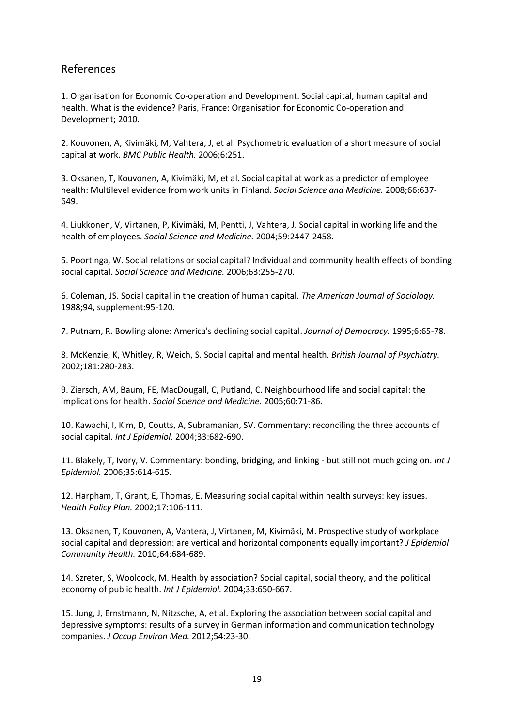## References

1. Organisation for Economic Co-operation and Development. Social capital, human capital and health. What is the evidence? Paris, France: Organisation for Economic Co-operation and Development; 2010.

2. Kouvonen, A, Kivimäki, M, Vahtera, J, et al. Psychometric evaluation of a short measure of social capital at work. *BMC Public Health.* 2006;6:251.

3. Oksanen, T, Kouvonen, A, Kivimäki, M, et al. Social capital at work as a predictor of employee health: Multilevel evidence from work units in Finland. *Social Science and Medicine.* 2008;66:637- 649.

4. Liukkonen, V, Virtanen, P, Kivimäki, M, Pentti, J, Vahtera, J. Social capital in working life and the health of employees. *Social Science and Medicine.* 2004;59:2447-2458.

5. Poortinga, W. Social relations or social capital? Individual and community health effects of bonding social capital. *Social Science and Medicine.* 2006;63:255-270.

6. Coleman, JS. Social capital in the creation of human capital. *The American Journal of Sociology.*  1988;94, supplement:95-120.

7. Putnam, R. Bowling alone: America's declining social capital. *Journal of Democracy.* 1995;6:65-78.

8. McKenzie, K, Whitley, R, Weich, S. Social capital and mental health. *British Journal of Psychiatry.*  2002;181:280-283.

9. Ziersch, AM, Baum, FE, MacDougall, C, Putland, C. Neighbourhood life and social capital: the implications for health. *Social Science and Medicine.* 2005;60:71-86.

10. Kawachi, I, Kim, D, Coutts, A, Subramanian, SV. Commentary: reconciling the three accounts of social capital. *Int J Epidemiol.* 2004;33:682-690.

11. Blakely, T, Ivory, V. Commentary: bonding, bridging, and linking - but still not much going on. *Int J Epidemiol.* 2006;35:614-615.

12. Harpham, T, Grant, E, Thomas, E. Measuring social capital within health surveys: key issues. *Health Policy Plan.* 2002;17:106-111.

13. Oksanen, T, Kouvonen, A, Vahtera, J, Virtanen, M, Kivimäki, M. Prospective study of workplace social capital and depression: are vertical and horizontal components equally important? *J Epidemiol Community Health.* 2010;64:684-689.

14. Szreter, S, Woolcock, M. Health by association? Social capital, social theory, and the political economy of public health. *Int J Epidemiol.* 2004;33:650-667.

15. Jung, J, Ernstmann, N, Nitzsche, A, et al. Exploring the association between social capital and depressive symptoms: results of a survey in German information and communication technology companies. *J Occup Environ Med.* 2012;54:23-30.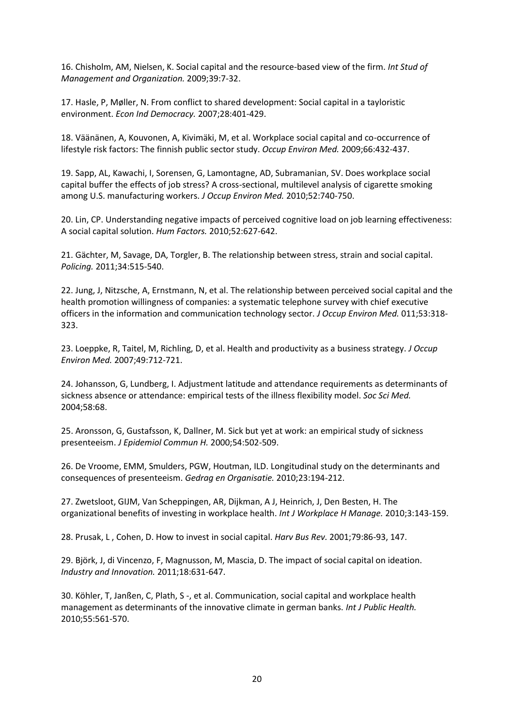16. Chisholm, AM, Nielsen, K. Social capital and the resource-based view of the firm. *Int Stud of Management and Organization.* 2009;39:7-32.

17. Hasle, P, Møller, N. From conflict to shared development: Social capital in a tayloristic environment. *Econ Ind Democracy.* 2007;28:401-429.

18. Väänänen, A, Kouvonen, A, Kivimäki, M, et al. Workplace social capital and co-occurrence of lifestyle risk factors: The finnish public sector study. *Occup Environ Med.* 2009;66:432-437.

19. Sapp, AL, Kawachi, I, Sorensen, G, Lamontagne, AD, Subramanian, SV. Does workplace social capital buffer the effects of job stress? A cross-sectional, multilevel analysis of cigarette smoking among U.S. manufacturing workers. *J Occup Environ Med.* 2010;52:740-750.

20. Lin, CP. Understanding negative impacts of perceived cognitive load on job learning effectiveness: A social capital solution. *Hum Factors.* 2010;52:627-642.

21. Gächter, M, Savage, DA, Torgler, B. The relationship between stress, strain and social capital. *Policing.* 2011;34:515-540.

22. Jung, J, Nitzsche, A, Ernstmann, N, et al. The relationship between perceived social capital and the health promotion willingness of companies: a systematic telephone survey with chief executive officers in the information and communication technology sector. *J Occup Environ Med.* 011;53:318- 323.

23. Loeppke, R, Taitel, M, Richling, D, et al. Health and productivity as a business strategy. *J Occup Environ Med.* 2007;49:712-721.

24. Johansson, G, Lundberg, I. Adjustment latitude and attendance requirements as determinants of sickness absence or attendance: empirical tests of the illness flexibility model. *Soc Sci Med.*  2004;58:68.

25. Aronsson, G, Gustafsson, K, Dallner, M. Sick but yet at work: an empirical study of sickness presenteeism. *J Epidemiol Commun H.* 2000;54:502-509.

26. De Vroome, EMM, Smulders, PGW, Houtman, ILD. Longitudinal study on the determinants and consequences of presenteeism. *Gedrag en Organisatie.* 2010;23:194-212.

27. Zwetsloot, GIJM, Van Scheppingen, AR, Dijkman, A J, Heinrich, J, Den Besten, H. The organizational benefits of investing in workplace health. *Int J Workplace H Manage.* 2010;3:143-159.

28. Prusak, L , Cohen, D. How to invest in social capital. *Harv Bus Rev.* 2001;79:86-93, 147.

29. Björk, J, di Vincenzo, F, Magnusson, M, Mascia, D. The impact of social capital on ideation. *Industry and Innovation.* 2011;18:631-647.

30. Köhler, T, Janßen, C, Plath, S -, et al. Communication, social capital and workplace health management as determinants of the innovative climate in german banks. *Int J Public Health.*  2010;55:561-570.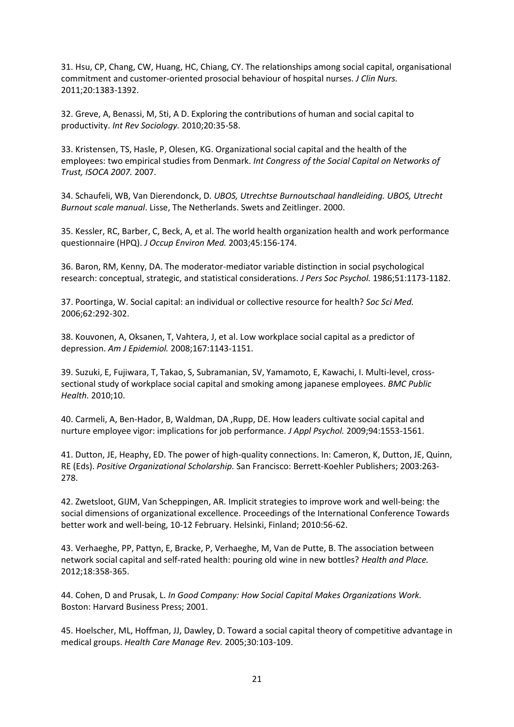31. Hsu, CP, Chang, CW, Huang, HC, Chiang, CY. The relationships among social capital, organisational commitment and customer-oriented prosocial behaviour of hospital nurses. *J Clin Nurs.*  2011;20:1383-1392.

32. Greve, A, Benassi, M, Sti, A D. Exploring the contributions of human and social capital to productivity. *Int Rev Sociology.* 2010;20:35-58.

33. Kristensen, TS, Hasle, P, Olesen, KG. Organizational social capital and the health of the employees: two empirical studies from Denmark. *Int Congress of the Social Capital on Networks of Trust, ISOCA 2007.* 2007.

34. Schaufeli, WB, Van Dierendonck, D. *UBOS, Utrechtse Burnoutschaal handleiding. UBOS, Utrecht Burnout scale manual*. Lisse, The Netherlands. Swets and Zeitlinger. 2000.

35. Kessler, RC, Barber, C, Beck, A, et al. The world health organization health and work performance questionnaire (HPQ). *J Occup Environ Med.* 2003;45:156-174.

36. Baron, RM, Kenny, DA. The moderator-mediator variable distinction in social psychological research: conceptual, strategic, and statistical considerations. *J Pers Soc Psychol.* 1986;51:1173-1182.

37. Poortinga, W. Social capital: an individual or collective resource for health? *Soc Sci Med.*  2006;62:292-302.

38. Kouvonen, A, Oksanen, T, Vahtera, J, et al. Low workplace social capital as a predictor of depression. *Am J Epidemiol.* 2008;167:1143-1151.

39. Suzuki, E, Fujiwara, T, Takao, S, Subramanian, SV, Yamamoto, E, Kawachi, I. Multi-level, crosssectional study of workplace social capital and smoking among japanese employees. *BMC Public Health.* 2010;10.

40. Carmeli, A, Ben-Hador, B, Waldman, DA ,Rupp, DE. How leaders cultivate social capital and nurture employee vigor: implications for job performance. *J Appl Psychol.* 2009;94:1553-1561.

41. Dutton, JE, Heaphy, ED. The power of high-quality connections. In: Cameron, K, Dutton, JE, Quinn, RE (Eds). *Positive Organizational Scholarship.* San Francisco: Berrett-Koehler Publishers; 2003:263- 278.

42. Zwetsloot, GIJM, Van Scheppingen, AR. Implicit strategies to improve work and well-being: the social dimensions of organizational excellence. Proceedings of the International Conference Towards better work and well-being, 10-12 February. Helsinki, Finland; 2010:56-62.

43. Verhaeghe, PP, Pattyn, E, Bracke, P, Verhaeghe, M, Van de Putte, B. The association between network social capital and self-rated health: pouring old wine in new bottles? *Health and Place.*  2012;18:358-365.

44. Cohen, D and Prusak, L. *In Good Company: How Social Capital Makes Organizations Work.*  Boston: Harvard Business Press; 2001.

45. Hoelscher, ML, Hoffman, JJ, Dawley, D. Toward a social capital theory of competitive advantage in medical groups. *Health Care Manage Rev.* 2005;30:103-109.